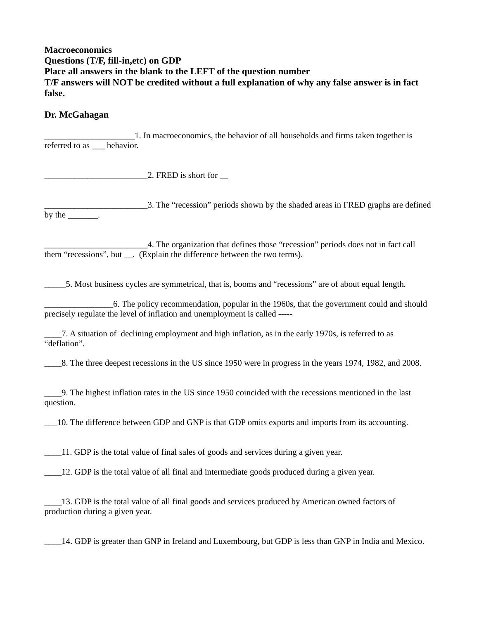## **Macroeconomics Questions (T/F, fill-in,etc) on GDP Place all answers in the blank to the LEFT of the question number T/F answers will NOT be credited without a full explanation of why any false answer is in fact false.**

## **Dr. McGahagan**

\_\_\_\_\_\_\_\_\_\_\_\_\_\_\_\_\_\_\_\_\_1. In macroeconomics, the behavior of all households and firms taken together is referred to as behavior.

 $\Box$   $\Box$  FRED is short for  $\Box$ 

\_\_\_\_\_\_\_\_\_\_\_\_\_\_\_\_\_\_\_\_\_\_\_\_3. The "recession" periods shown by the shaded areas in FRED graphs are defined by the control to the control of  $\mathbf{r}$ .

\_\_\_\_\_\_\_\_\_\_\_\_\_\_\_\_\_\_\_\_\_\_\_\_4. The organization that defines those "recession" periods does not in fact call them "recessions", but . (Explain the difference between the two terms).

\_\_\_\_\_5. Most business cycles are symmetrical, that is, booms and "recessions" are of about equal length.

\_\_\_\_\_\_\_\_\_\_\_\_\_\_\_\_6. The policy recommendation, popular in the 1960s, that the government could and should precisely regulate the level of inflation and unemployment is called -----

\_\_\_\_7. A situation of declining employment and high inflation, as in the early 1970s, is referred to as "deflation".

\_\_\_\_8. The three deepest recessions in the US since 1950 were in progress in the years 1974, 1982, and 2008.

\_\_\_\_9. The highest inflation rates in the US since 1950 coincided with the recessions mentioned in the last question.

\_\_\_10. The difference between GDP and GNP is that GDP omits exports and imports from its accounting.

\_\_\_\_11. GDP is the total value of final sales of goods and services during a given year.

\_\_\_\_12. GDP is the total value of all final and intermediate goods produced during a given year.

\_\_\_\_13. GDP is the total value of all final goods and services produced by American owned factors of production during a given year.

\_\_\_\_14. GDP is greater than GNP in Ireland and Luxembourg, but GDP is less than GNP in India and Mexico.